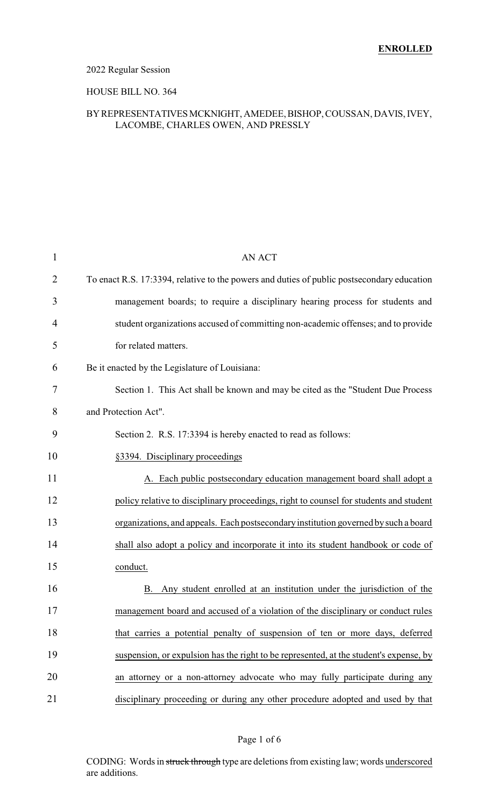### 2022 Regular Session

#### HOUSE BILL NO. 364

### BYREPRESENTATIVESMCKNIGHT, AMEDEE, BISHOP, COUSSAN, DAVIS, IVEY, LACOMBE, CHARLES OWEN, AND PRESSLY

| $\mathbf{1}$   | <b>AN ACT</b>                                                                              |
|----------------|--------------------------------------------------------------------------------------------|
| $\overline{2}$ | To enact R.S. 17:3394, relative to the powers and duties of public postsecondary education |
| 3              | management boards; to require a disciplinary hearing process for students and              |
| 4              | student organizations accused of committing non-academic offenses; and to provide          |
| 5              | for related matters.                                                                       |
| 6              | Be it enacted by the Legislature of Louisiana:                                             |
| 7              | Section 1. This Act shall be known and may be cited as the "Student Due Process"           |
| 8              | and Protection Act".                                                                       |
| 9              | Section 2. R.S. 17:3394 is hereby enacted to read as follows:                              |
| 10             | §3394. Disciplinary proceedings                                                            |
| 11             | A. Each public postsecondary education management board shall adopt a                      |
| 12             | policy relative to disciplinary proceedings, right to counsel for students and student     |
| 13             | organizations, and appeals. Each postsecondary institution governed by such a board        |
| 14             | shall also adopt a policy and incorporate it into its student handbook or code of          |
| 15             | conduct.                                                                                   |
| 16             | Any student enrolled at an institution under the jurisdiction of the<br>В.                 |
| 17             | management board and accused of a violation of the disciplinary or conduct rules           |
| 18             | that carries a potential penalty of suspension of ten or more days, deferred               |
| 19             | suspension, or expulsion has the right to be represented, at the student's expense, by     |
| 20             | an attorney or a non-attorney advocate who may fully participate during any                |
| 21             | disciplinary proceeding or during any other procedure adopted and used by that             |

#### Page 1 of 6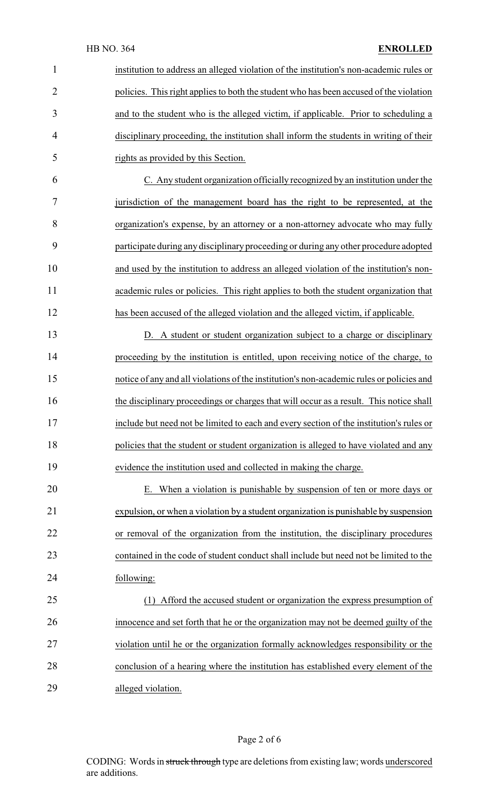| $\mathbf{1}$   | institution to address an alleged violation of the institution's non-academic rules or   |
|----------------|------------------------------------------------------------------------------------------|
| $\overline{2}$ | policies. This right applies to both the student who has been accused of the violation   |
| 3              | and to the student who is the alleged victim, if applicable. Prior to scheduling a       |
| 4              | disciplinary proceeding, the institution shall inform the students in writing of their   |
| 5              | rights as provided by this Section.                                                      |
| 6              | C. Any student organization officially recognized by an institution under the            |
| 7              | jurisdiction of the management board has the right to be represented, at the             |
| 8              | organization's expense, by an attorney or a non-attorney advocate who may fully          |
| 9              | participate during any disciplinary proceeding or during any other procedure adopted     |
| 10             | and used by the institution to address an alleged violation of the institution's non-    |
| 11             | academic rules or policies. This right applies to both the student organization that     |
| 12             | has been accused of the alleged violation and the alleged victim, if applicable.         |
| 13             | D. A student or student organization subject to a charge or disciplinary                 |
| 14             | proceeding by the institution is entitled, upon receiving notice of the charge, to       |
| 15             | notice of any and all violations of the institution's non-academic rules or policies and |
| 16             | the disciplinary proceedings or charges that will occur as a result. This notice shall   |
| 17             | include but need not be limited to each and every section of the institution's rules or  |
| 18             | policies that the student or student organization is alleged to have violated and any    |
| 19             | evidence the institution used and collected in making the charge.                        |
| 20             | E. When a violation is punishable by suspension of ten or more days or                   |
| 21             | expulsion, or when a violation by a student organization is punishable by suspension     |
| 22             | or removal of the organization from the institution, the disciplinary procedures         |
| 23             | contained in the code of student conduct shall include but need not be limited to the    |
| 24             | following:                                                                               |
| 25             | (1) Afford the accused student or organization the express presumption of                |
| 26             | innocence and set forth that he or the organization may not be deemed guilty of the      |
| 27             | violation until he or the organization formally acknowledges responsibility or the       |
| 28             | conclusion of a hearing where the institution has established every element of the       |
| 29             | alleged violation.                                                                       |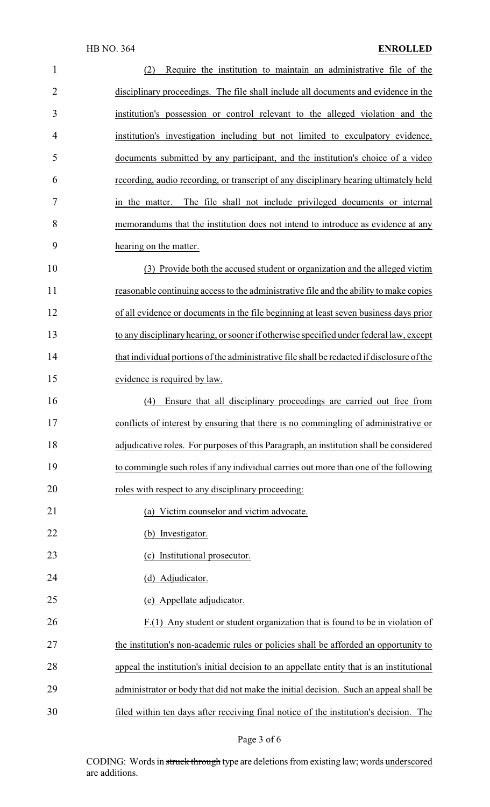| $\mathbf{1}$ | (2)<br>Require the institution to maintain an administrative file of the                   |
|--------------|--------------------------------------------------------------------------------------------|
| 2            | disciplinary proceedings. The file shall include all documents and evidence in the         |
| 3            | institution's possession or control relevant to the alleged violation and the              |
| 4            | institution's investigation including but not limited to exculpatory evidence,             |
| 5            | documents submitted by any participant, and the institution's choice of a video            |
| 6            | recording, audio recording, or transcript of any disciplinary hearing ultimately held      |
| 7            | The file shall not include privileged documents or internal<br>in the matter.              |
| 8            | memorandums that the institution does not intend to introduce as evidence at any           |
| 9            | hearing on the matter.                                                                     |
| 10           | (3) Provide both the accused student or organization and the alleged victim                |
| 11           | reasonable continuing access to the administrative file and the ability to make copies     |
| 12           | of all evidence or documents in the file beginning at least seven business days prior      |
| 13           | to any disciplinary hearing, or sooner if otherwise specified under federal law, except    |
| 14           | that individual portions of the administrative file shall be redacted if disclosure of the |
| 15           | evidence is required by law.                                                               |
| 16           | Ensure that all disciplinary proceedings are carried out free from<br>(4)                  |
| 17           | conflicts of interest by ensuring that there is no commingling of administrative or        |
| 18           | adjudicative roles. For purposes of this Paragraph, an institution shall be considered     |
| 19           | to commingle such roles if any individual carries out more than one of the following       |
| 20           | roles with respect to any disciplinary proceeding:                                         |
| 21           | (a) Victim counselor and victim advocate.                                                  |
| 22           | (b) Investigator.                                                                          |
| 23           | (c) Institutional prosecutor.                                                              |
| 24           | (d) Adjudicator.                                                                           |
| 25           | (e) Appellate adjudicator.                                                                 |
| 26           | $F(1)$ Any student or student organization that is found to be in violation of             |
| 27           | the institution's non-academic rules or policies shall be afforded an opportunity to       |
| 28           | appeal the institution's initial decision to an appellate entity that is an institutional  |
| 29           | administrator or body that did not make the initial decision. Such an appeal shall be      |
| 30           | filed within ten days after receiving final notice of the institution's decision. The      |

# Page 3 of 6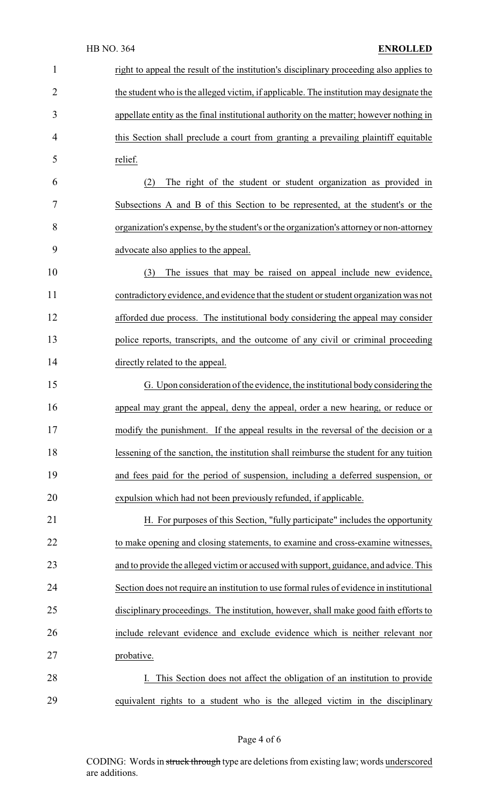## HB NO. 364 **ENROLLED**

| $\mathbf 1$    | right to appeal the result of the institution's disciplinary proceeding also applies to  |
|----------------|------------------------------------------------------------------------------------------|
| $\overline{2}$ | the student who is the alleged victim, if applicable. The institution may designate the  |
| 3              | appellate entity as the final institutional authority on the matter; however nothing in  |
| 4              | this Section shall preclude a court from granting a prevailing plaintiff equitable       |
| 5              | relief.                                                                                  |
| 6              | The right of the student or student organization as provided in<br>(2)                   |
| 7              | Subsections A and B of this Section to be represented, at the student's or the           |
| 8              | organization's expense, by the student's or the organization's attorney or non-attorney  |
| 9              | advocate also applies to the appeal.                                                     |
| 10             | The issues that may be raised on appeal include new evidence,<br>(3)                     |
| 11             | contradictory evidence, and evidence that the student or student organization was not    |
| 12             | afforded due process. The institutional body considering the appeal may consider         |
| 13             | police reports, transcripts, and the outcome of any civil or criminal proceeding         |
| 14             | directly related to the appeal.                                                          |
| 15             | G. Upon consideration of the evidence, the institutional body considering the            |
| 16             | appeal may grant the appeal, deny the appeal, order a new hearing, or reduce or          |
| 17             | modify the punishment. If the appeal results in the reversal of the decision or a        |
| 18             | lessening of the sanction, the institution shall reimburse the student for any tuition   |
| 19             | and fees paid for the period of suspension, including a deferred suspension, or          |
| 20             | expulsion which had not been previously refunded, if applicable.                         |
| 21             | H. For purposes of this Section, "fully participate" includes the opportunity            |
| 22             | to make opening and closing statements, to examine and cross-examine witnesses,          |
| 23             | and to provide the alleged victim or accused with support, guidance, and advice. This    |
| 24             | Section does not require an institution to use formal rules of evidence in institutional |
| 25             | disciplinary proceedings. The institution, however, shall make good faith efforts to     |
| 26             | include relevant evidence and exclude evidence which is neither relevant nor             |
| 27             | probative.                                                                               |
| 28             | I. This Section does not affect the obligation of an institution to provide              |
| 29             | equivalent rights to a student who is the alleged victim in the disciplinary             |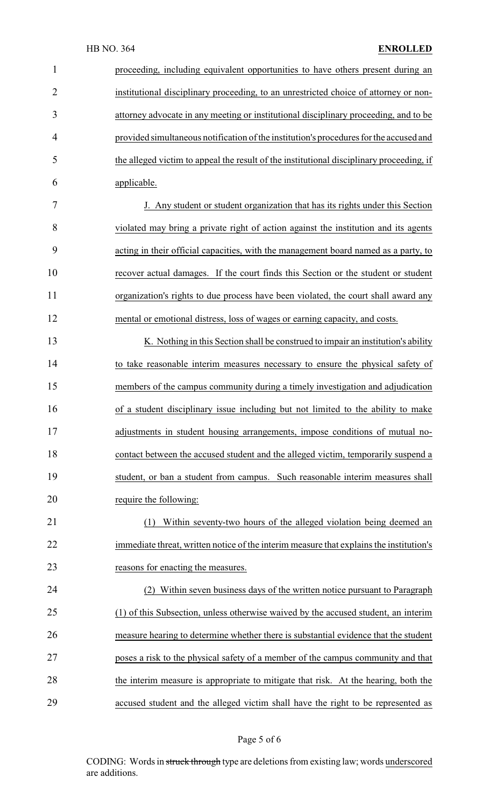| $\mathbf{1}$   | proceeding, including equivalent opportunities to have others present during an          |
|----------------|------------------------------------------------------------------------------------------|
| $\overline{2}$ | institutional disciplinary proceeding, to an unrestricted choice of attorney or non-     |
| 3              | attorney advocate in any meeting or institutional disciplinary proceeding, and to be     |
| 4              | provided simultaneous notification of the institution's procedures for the accused and   |
| 5              | the alleged victim to appeal the result of the institutional disciplinary proceeding, if |
| 6              | applicable.                                                                              |
| 7              | J. Any student or student organization that has its rights under this Section            |
| 8              | violated may bring a private right of action against the institution and its agents      |
| 9              | acting in their official capacities, with the management board named as a party, to      |
| 10             | recover actual damages. If the court finds this Section or the student or student        |
| 11             | organization's rights to due process have been violated, the court shall award any       |
| 12             | mental or emotional distress, loss of wages or earning capacity, and costs.              |
| 13             | K. Nothing in this Section shall be construed to impair an institution's ability         |
| 14             | to take reasonable interim measures necessary to ensure the physical safety of           |
| 15             | members of the campus community during a timely investigation and adjudication           |
| 16             | of a student disciplinary issue including but not limited to the ability to make         |
| 17             | adjustments in student housing arrangements, impose conditions of mutual no-             |
| 18             | contact between the accused student and the alleged victim, temporarily suspend a        |
| 19             | student, or ban a student from campus. Such reasonable interim measures shall            |
| 20             | require the following:                                                                   |
| 21             | (1) Within seventy-two hours of the alleged violation being deemed an                    |
| 22             | immediate threat, written notice of the interim measure that explains the institution's  |
| 23             | reasons for enacting the measures.                                                       |
| 24             | (2) Within seven business days of the written notice pursuant to Paragraph               |
| 25             | (1) of this Subsection, unless otherwise waived by the accused student, an interim       |
| 26             | measure hearing to determine whether there is substantial evidence that the student      |
| 27             | poses a risk to the physical safety of a member of the campus community and that         |
| 28             | the interim measure is appropriate to mitigate that risk. At the hearing, both the       |
| 29             | accused student and the alleged victim shall have the right to be represented as         |

# Page 5 of 6